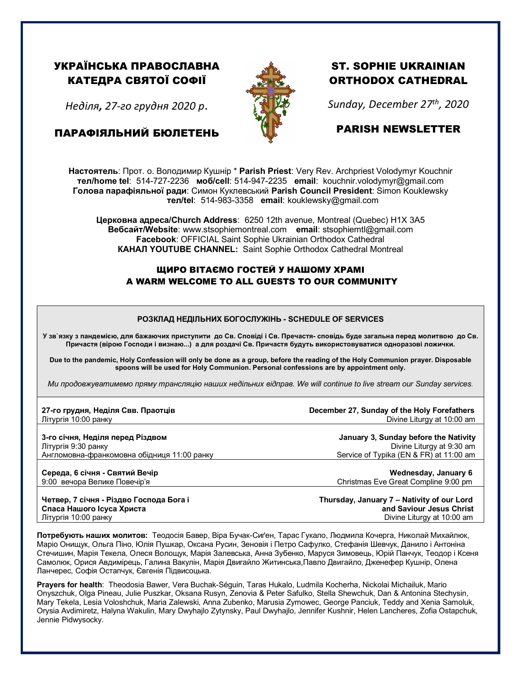## УКРАЇНСЬКА ПРАВОСЛАВНА КАТЕДРА СВЯТОЇ СОФІЇ

*Неділя, 27-го грудня 2020 р*.

ПАРАФІЯЛЬНИЙ БЮЛЕТЕНЬ



# ST. SOPHIE UKRAINIAN ORTHODOX CATHEDRAL

*Sunday, December 27th, 2020*

## PARISH NEWSLETTER

**Настоятель**: Прот. о. Володимир Кушнір \* **Parish Priest**: Very Rev. Archpriest Volodymyr Kouchnir **тел/home tel**: 514-727-2236 **моб/cell**: 514-947-2235 **email**: kouchnir.volodymyr@gmail.com **Голова парафіяльної ради**: Симон Куклевський **Parish Council President**: Simon Kouklewsky  **тел/tel**: 514-983-3358 **email**: kouklewsky@gmail.com

**Церковна адреса/Church Address**: 6250 12th avenue, Montreal (Quebec) H1X 3A5 **Вебсайт/Website**: www.stsophiemontreal.com **email**: stsophiemtl@gmail.com **Facebook**: OFFICIAL Saint Sophie Ukrainian Orthodox Cathedral **КАНАЛ YOUTUBE CHANNEL:** Saint Sophie Orthodox Cathedral Montreal

### ЩИРО ВІТАЄМО ГОСТЕЙ У НАШОМУ ХРАМІ A WARM WELCOME TO ALL GUESTS TO OUR COMMUNITY

#### **РОЗКЛАД НЕДІЛЬНИХ БОГОСЛУЖІНЬ - SCHEDULE OF SERVICES**

**У зв`язку з пандемією, для бажаючих приступити до Св. Сповіді і Св. Пречастя- сповідь буде загальна перед молитвою до Св. Причастя (вірою Господи і визнаю...) а для роздачі Св. Причастя будуть використовуватися одноразові ложички.**

**Due to the pandemic, Holy Confession will only be done as a group, before the reading of the Holy Communion prayer. Disposable spoons will be used for Holy Communion. Personal confessions are by appointment only.**

*Ми продовжуватимемо пряму трансляцію наших недільних відправ. We will continue to live stream our Sunday services.*

| 27-го грудня, Неділя Свв. Праотців          | December 27, Sunday of the Holy Forefathers |
|---------------------------------------------|---------------------------------------------|
| Літургія 10:00 ранку                        | Divine Liturgy at 10:00 am                  |
| 3-го січня, Неділя перед Різдвом            | January 3, Sunday before the Nativity       |
| Літургія 9:30 ранку                         | Divine Liturgy at 9:30 am                   |
| Англомовна-франкомовна обідниця 11:00 ранку | Service of Typika (EN & FR) at 11:00 am     |
| Середа, 6 січня - Святий Вечір              | Wednesday, January 6                        |
| 9:00 вечора Велике Повечір'я                | Christmas Eve Great Compline 9:00 pm        |

**Четвер, 7 січня - Різдво Господа Бога і Thursday, January 7 – Nativity of our Lord Спаса Нашого Ісуса Христа and Saviour Jesus Christ** Літургія 10:00 ранкуDivine Liturgy at 10:00 am

**Потребують наших молитов:** Теодосія Бавер, Віра Бучак-Сиґен, Тарас Гукало, Людмила Кочерга, Николай Михайлюк, Маріо Онищук, Ольгa Піно, Юлія Пушкар, Оксанa Русин, Зеновія і Петро Сафулко, Стефанія Шевчук, Данило і Антоніна Стечишин, Марія Текела, Олеся Волощук, Марія Залевська, Анна Зубенко, Маруся Зимовець, Юрій Панчук, Теодор і Ксеня Самолюк, Орися Авдимірець, Галина Вакулін, Марія Двигайло Житинська,Павло Двигайло, Дженефер Кушнір, Олена Ланчерес, Софія Остапчук, Євгенія Підвисоцька.

**Prayers for health**: Theodosia Bawer, Vera Buchak-Séguin, Taras Hukalo, Ludmila Kocherha, Nickolai Michailuk, Mario Onyszchuk, Olga Pineau, Julie Puszkar, Oksana Rusyn, Zenovia & Peter Safulko, Stella Shewchuk, Dan & Antonina Stechysin, Mary Tekela, Lesia Voloshchuk, Maria Zalewski, Anna Zubenko, Marusia Zymowec, George Panciuk, Teddy and Xenia Samoluk, Orysia Avdimiretz, Halyna Wakulin, Mary Dwyhajlo Zytynsky, Paul Dwyhajlo, Jennifer Kushnir, Helen Lancheres, Zofia Ostapchuk, Jennie Pidwysocky.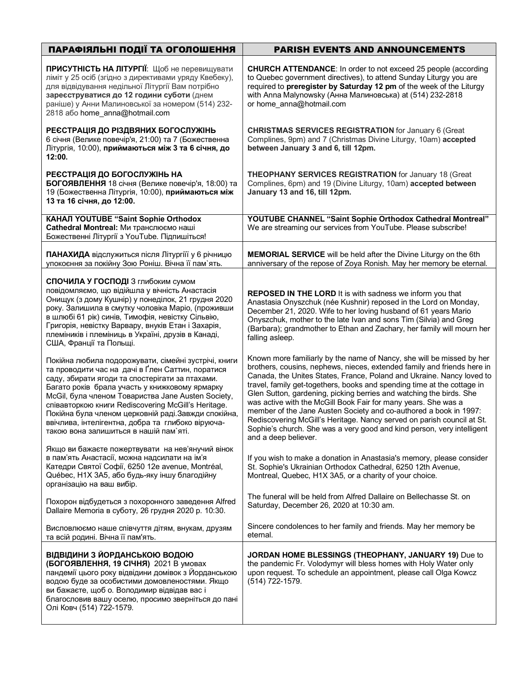| ПАРАФІЯЛЬНІ ПОДІЇ ТА ОГОЛОШЕННЯ                                                                                                                                                                                                                                                                                                                                                                                                                                                   | <b>PARISH EVENTS AND ANNOUNCEMENTS</b>                                                                                                                                                                                                                                                                                                                                                                                                                                                                                                                                                                                                                                                         |
|-----------------------------------------------------------------------------------------------------------------------------------------------------------------------------------------------------------------------------------------------------------------------------------------------------------------------------------------------------------------------------------------------------------------------------------------------------------------------------------|------------------------------------------------------------------------------------------------------------------------------------------------------------------------------------------------------------------------------------------------------------------------------------------------------------------------------------------------------------------------------------------------------------------------------------------------------------------------------------------------------------------------------------------------------------------------------------------------------------------------------------------------------------------------------------------------|
| ПРИСУТНІСТЬ НА ЛІТУРГІЇ: Щоб не перевищувати<br>ліміт у 25 осіб (згідно з директивами уряду Квебеку),<br>для відвідування недільної Літургії Вам потрібно<br>зареєструватися до 12 години суботи (днем<br>раніше) у Анни Малиновської за номером (514) 232-<br>2818 aбо home_anna@hotmail.com                                                                                                                                                                                     | <b>CHURCH ATTENDANCE:</b> In order to not exceed 25 people (according<br>to Quebec government directives), to attend Sunday Liturgy you are<br>required to preregister by Saturday 12 pm of the week of the Liturgy<br>with Anna Malynowsky (Анна Малиновська) at (514) 232-2818<br>or home_anna@hotmail.com                                                                                                                                                                                                                                                                                                                                                                                   |
| РЕЄСТРАЦІЯ ДО РІЗДВЯНИХ БОГОСЛУЖІНЬ<br>6 січня (Велике повечір'я, 21:00) та 7 (Божественна<br>Літургія, 10:00), приймаються між 3 та 6 січня, до<br>12:00.                                                                                                                                                                                                                                                                                                                        | <b>CHRISTMAS SERVICES REGISTRATION for January 6 (Great</b><br>Complines, 9pm) and 7 (Christmas Divine Liturgy, 10am) accepted<br>between January 3 and 6, till 12pm.                                                                                                                                                                                                                                                                                                                                                                                                                                                                                                                          |
| РЕЄСТРАЦІЯ ДО БОГОСЛУЖІНЬ НА<br>БОГОЯВЛЕННЯ 18 січня (Велике повечір'я, 18:00) та<br>19 (Божественна Літургія, 10:00), приймаються між<br>13 та 16 січня, до 12:00.                                                                                                                                                                                                                                                                                                               | <b>THEOPHANY SERVICES REGISTRATION for January 18 (Great</b><br>Complines, 6pm) and 19 (Divine Liturgy, 10am) accepted between<br>January 13 and 16, till 12pm.                                                                                                                                                                                                                                                                                                                                                                                                                                                                                                                                |
| КАНАЛ YOUTUBE "Saint Sophie Orthodox<br>Cathedral Montreal: Ми транслюємо наші<br>Божественні Літургії з YouTube. Підпишіться!                                                                                                                                                                                                                                                                                                                                                    | YOUTUBE CHANNEL "Saint Sophie Orthodox Cathedral Montreal"<br>We are streaming our services from YouTube. Please subscribe!                                                                                                                                                                                                                                                                                                                                                                                                                                                                                                                                                                    |
| ПАНАХИДА відслужиться після Літургіїї у 6 річницю<br>упокоєння за покійну Зою Роніш. Вічна її пам'ять.                                                                                                                                                                                                                                                                                                                                                                            | <b>MEMORIAL SERVICE</b> will be held after the Divine Liturgy on the 6th<br>anniversary of the repose of Zoya Ronish. May her memory be eternal.                                                                                                                                                                                                                                                                                                                                                                                                                                                                                                                                               |
| СПОЧИЛА У ГОСПОДІ З глибоким сумом<br>повідомляємо, що відійшла у вічність Анастасія<br>Онищук (з дому Кушнір) у понеділок, 21 грудня 2020<br>року. Залишила в смутку чоловіка Маріо, (проживши<br>в шлюбі 61 рік) синів, Тимофія, невістку Сільвію,<br>Григорія, невістку Варвару, внуків Етан і Захарія,<br>племіників і племіниць в Україні, друзів в Канаді,<br>США, Франції та Польщі.                                                                                       | <b>REPOSED IN THE LORD</b> It is with sadness we inform you that<br>Anastasia Onyszchuk (née Kushnir) reposed in the Lord on Monday,<br>December 21, 2020. Wife to her loving husband of 61 years Mario<br>Onyszchuk, mother to the late Ivan and sons Tim (Silvia) and Greg<br>(Barbara); grandmother to Ethan and Zachary, her family will mourn her<br>falling asleep.                                                                                                                                                                                                                                                                                                                      |
| Покійна любила подорожувати, сімейні зустрічі, книги<br>та проводити час на дачі в Ґлен Саттин, поратися<br>саду, збирати ягоди та спостерігати за птахами.<br>Багато років брала участь у книжковому ярмарку<br>McGil, була членом Товариства Jane Austen Society,<br>співавторкою книги Rediscovering McGill's Heritage.<br>Покійна була членом церковній раді. Завжди спокійна,<br>ввічлива, інтелігентна, добра та глибоко віруюча-<br>такою вона залишиться в нашій пам'яті. | Known more familiarly by the name of Nancy, she will be missed by her<br>brothers, cousins, nephews, nieces, extended family and friends here in<br>Canada, the Unites States, France, Poland and Ukraine. Nancy loved to<br>travel, family get-togethers, books and spending time at the cottage in<br>Glen Sutton, gardening, picking berries and watching the birds. She<br>was active with the McGill Book Fair for many years. She was a<br>member of the Jane Austen Society and co-authored a book in 1997:<br>Rediscovering McGill's Heritage. Nancy served on parish council at St.<br>Sophie's church. She was a very good and kind person, very intelligent<br>and a deep believer. |
| Якщо ви бажаєте пожертвувати на нев'янучий вінок<br>в пам'ять Анастасії, можна надсилати на ім'я<br>Катедри Святої Софії, 6250 12e avenue, Montréal,<br>Québec, H1X 3A5, або будь-яку іншу благодійну<br>організацію на ваш вибір.                                                                                                                                                                                                                                                | If you wish to make a donation in Anastasia's memory, please consider<br>St. Sophie's Ukrainian Orthodox Cathedral, 6250 12th Avenue,<br>Montreal, Quebec, H1X 3A5, or a charity of your choice.                                                                                                                                                                                                                                                                                                                                                                                                                                                                                               |
| Похорон відбудеться з похоронного заведення Alfred<br>Dallaire Memoria в суботу, 26 грудня 2020 р. 10:30.                                                                                                                                                                                                                                                                                                                                                                         | The funeral will be held from Alfred Dallaire on Bellechasse St. on<br>Saturday, December 26, 2020 at 10:30 am.                                                                                                                                                                                                                                                                                                                                                                                                                                                                                                                                                                                |
| Висловлюємо наше співчуття дітям, внукам, друзям<br>та всій родині. Вічна її пам'ять.                                                                                                                                                                                                                                                                                                                                                                                             | Sincere condolences to her family and friends. May her memory be<br>eternal.                                                                                                                                                                                                                                                                                                                                                                                                                                                                                                                                                                                                                   |
| ВІДВІДИНИ З ЙОРДАНСЬКОЮ ВОДОЮ<br>(БОГОЯВЛЕННЯ, 19 СІЧНЯ) 2021 В умовах<br>пандемії цього року відвідини домівок з Йорданською<br>водою буде за особистими домовленостями. Якщо<br>ви бажаєте, щоб о. Володимир відвідав вас і<br>благословив вашу оселю, просимо зверніться до пані<br>Олі Ковч (514) 722-1579.                                                                                                                                                                   | JORDAN HOME BLESSINGS (THEOPHANY, JANUARY 19) Due to<br>the pandemic Fr. Volodymyr will bless homes with Holy Water only<br>upon request. To schedule an appointment, please call Olga Kowcz<br>(514) 722-1579.                                                                                                                                                                                                                                                                                                                                                                                                                                                                                |